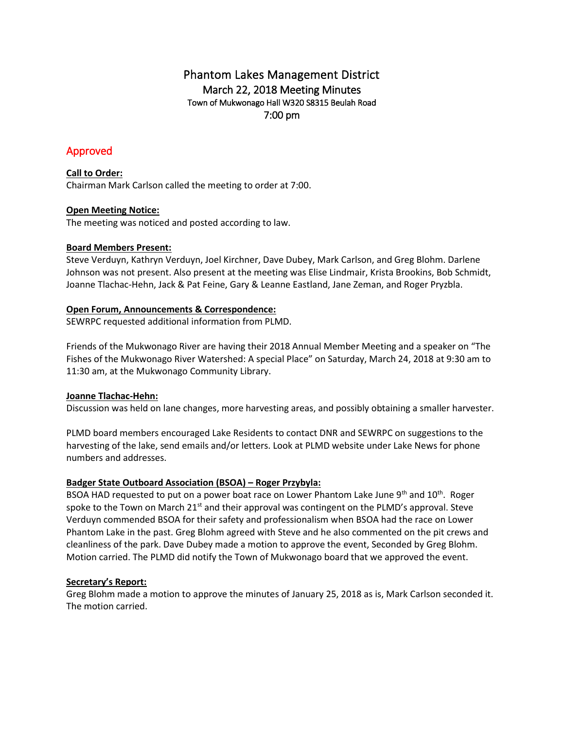# Phantom Lakes Management District March 22, 2018 Meeting Minutes Town of Mukwonago Hall W320 S8315 Beulah Road 7:00 pm

# Approved

## **Call to Order:**

Chairman Mark Carlson called the meeting to order at 7:00.

## **Open Meeting Notice:**

The meeting was noticed and posted according to law.

## **Board Members Present:**

Steve Verduyn, Kathryn Verduyn, Joel Kirchner, Dave Dubey, Mark Carlson, and Greg Blohm. Darlene Johnson was not present. Also present at the meeting was Elise Lindmair, Krista Brookins, Bob Schmidt, Joanne Tlachac-Hehn, Jack & Pat Feine, Gary & Leanne Eastland, Jane Zeman, and Roger Pryzbla.

## **Open Forum, Announcements & Correspondence:**

SEWRPC requested additional information from PLMD.

Friends of the Mukwonago River are having their 2018 Annual Member Meeting and a speaker on "The Fishes of the Mukwonago River Watershed: A special Place" on Saturday, March 24, 2018 at 9:30 am to 11:30 am, at the Mukwonago Community Library.

## **Joanne Tlachac-Hehn:**

Discussion was held on lane changes, more harvesting areas, and possibly obtaining a smaller harvester.

PLMD board members encouraged Lake Residents to contact DNR and SEWRPC on suggestions to the harvesting of the lake, send emails and/or letters. Look at PLMD website under Lake News for phone numbers and addresses.

## **Badger State Outboard Association (BSOA) – Roger Przybyla:**

BSOA HAD requested to put on a power boat race on Lower Phantom Lake June  $9<sup>th</sup>$  and  $10<sup>th</sup>$ . Roger spoke to the Town on March  $21<sup>st</sup>$  and their approval was contingent on the PLMD's approval. Steve Verduyn commended BSOA for their safety and professionalism when BSOA had the race on Lower Phantom Lake in the past. Greg Blohm agreed with Steve and he also commented on the pit crews and cleanliness of the park. Dave Dubey made a motion to approve the event, Seconded by Greg Blohm. Motion carried. The PLMD did notify the Town of Mukwonago board that we approved the event.

## **Secretary's Report:**

Greg Blohm made a motion to approve the minutes of January 25, 2018 as is, Mark Carlson seconded it. The motion carried.